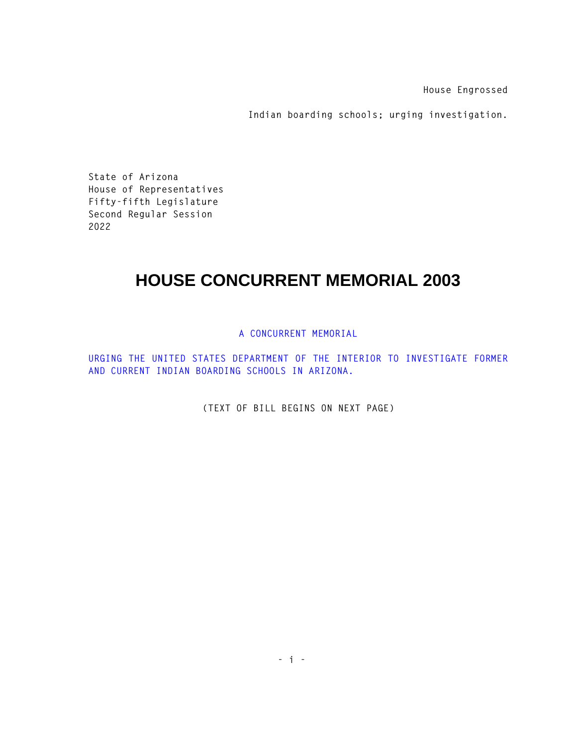**House Engrossed** 

**Indian boarding schools; urging investigation.** 

**State of Arizona House of Representatives Fifty-fifth Legislature Second Regular Session 2022** 

## **HOUSE CONCURRENT MEMORIAL 2003**

## **A CONCURRENT MEMORIAL**

**URGING THE UNITED STATES DEPARTMENT OF THE INTERIOR TO INVESTIGATE FORMER AND CURRENT INDIAN BOARDING SCHOOLS IN ARIZONA.** 

**(TEXT OF BILL BEGINS ON NEXT PAGE)**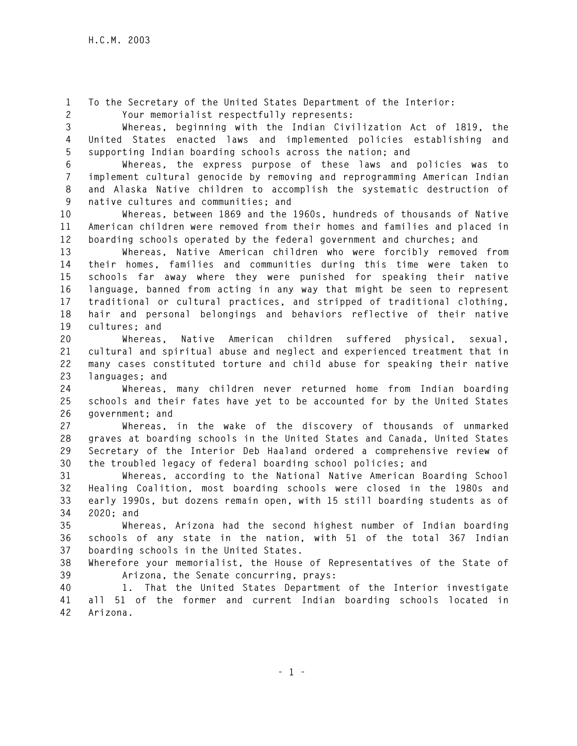**1 To the Secretary of the United States Department of the Interior: 2 Your memorialist respectfully represents:** 

**3 Whereas, beginning with the Indian Civilization Act of 1819, the 4 United States enacted laws and implemented policies establishing and 5 supporting Indian boarding schools across the nation; and** 

**6 Whereas, the express purpose of these laws and policies was to 7 implement cultural genocide by removing and reprogramming American Indian 8 and Alaska Native children to accomplish the systematic destruction of 9 native cultures and communities; and** 

**10 Whereas, between 1869 and the 1960s, hundreds of thousands of Native 11 American children were removed from their homes and families and placed in 12 boarding schools operated by the federal government and churches; and** 

**13 Whereas, Native American children who were forcibly removed from 14 their homes, families and communities during this time were taken to 15 schools far away where they were punished for speaking their native 16 language, banned from acting in any way that might be seen to represent 17 traditional or cultural practices, and stripped of traditional clothing, 18 hair and personal belongings and behaviors reflective of their native 19 cultures; and** 

**20 Whereas, Native American children suffered physical, sexual, 21 cultural and spiritual abuse and neglect and experienced treatment that in 22 many cases constituted torture and child abuse for speaking their native 23 languages; and** 

**24 Whereas, many children never returned home from Indian boarding 25 schools and their fates have yet to be accounted for by the United States 26 government; and** 

**27 Whereas, in the wake of the discovery of thousands of unmarked 28 graves at boarding schools in the United States and Canada, United States 29 Secretary of the Interior Deb Haaland ordered a comprehensive review of 30 the troubled legacy of federal boarding school policies; and** 

**31 Whereas, according to the National Native American Boarding School 32 Healing Coalition, most boarding schools were closed in the 1980s and 33 early 1990s, but dozens remain open, with 15 still boarding students as of 34 2020; and** 

**35 Whereas, Arizona had the second highest number of Indian boarding 36 schools of any state in the nation, with 51 of the total 367 Indian 37 boarding schools in the United States.** 

**38 Wherefore your memorialist, the House of Representatives of the State of 39 Arizona, the Senate concurring, prays:**

**40 1. That the United States Department of the Interior investigate 41 all 51 of the former and current Indian boarding schools located in 42 Arizona.**